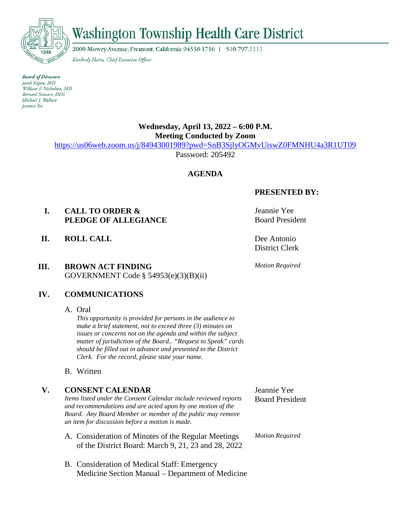

# $\vec{w}$

2000 Mowry Avenue, Fremont, California 94538-1716 | 510.797.1111

Kimberly Hartz, Chief Executive Officer

**Board of Directors** Jacob Eapen, MD William F. Nicholson, MD Bernard Stewart, DDS Michael J. Wallace *Jeannie Yee* 

# **Wednesday, April 13, 2022 – 6:00 P.M. Meeting Conducted by Zoom**

<https://us06web.zoom.us/j/84943001989?pwd=SnB3SjlyOGMvUiswZ0FMNHU4a3R1UT09>

Password: 205492

# **AGENDA**

# **I. CALL TO ORDER & PLEDGE OF ALLEGIANCE**

**II. ROLL CALL** Dee Antonio

# **III. BROWN ACT FINDING**  GOVERNMENT Code § 54953(e)(3)(B)(ii)

**PRESENTED BY:**

Jeannie Yee Board President

District Clerk

*Motion Required*

# **IV. COMMUNICATIONS**

A. Oral

*This opportunity is provided for persons in the audience to make a brief statement, not to exceed three (3) minutes on issues or concerns not on the agenda and within the subject matter of jurisdiction of the Board.. "Request to Speak" cards should be filled out in advance and presented to the District Clerk. For the record, please state your name.*

B. Written

#### **V. CONSENT CALENDAR** *Items listed under the Consent Calendar include reviewed reports and recommendations and are acted upon by one motion of the Board. Any Board Member or member of the public may remove an item for discussion before a motion is made.* A. Consideration of Minutes of the Regular Meetings of the District Board: March 9, 21, 23 and 28, 2022 Jeannie Yee Board President *Motion Required*

B. Consideration of Medical Staff: Emergency Medicine Section Manual – Department of Medicine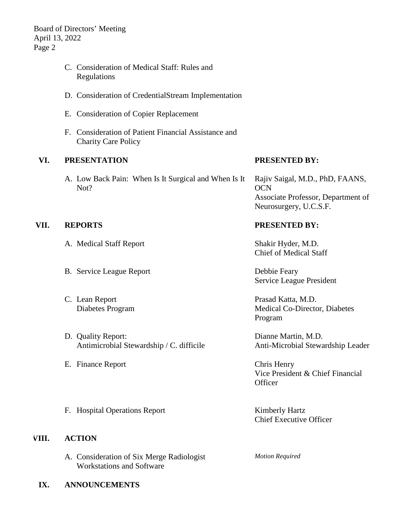Board of Directors' Meeting April 13, 2022 Page 2

- C. Consideration of Medical Staff: Rules and Regulations
- D. Consideration of CredentialStream Implementation
- E. Consideration of Copier Replacement
- F. Consideration of Patient Financial Assistance and Charity Care Policy

# **VI. PRESENTATION**

A. Low Back Pain: When Is It Surgical and When Is It Not?

#### **PRESENTED BY:**

Rajiv Saigal, M.D., PhD, FAANS, **OCN** Associate Professor, Department of Neurosurgery, U.C.S.F.

### **VII. REPORTS PRESENTED BY:**

- A. Medical Staff Report Shakir Hyder, M.D.
- B. Service League Report Debbie Feary
- C. Lean Report Diabetes Program
- D. Quality Report: Antimicrobial Stewardship / C. difficile
- E. Finance Report Chris Henry

Chief of Medical Staff

Service League President

Prasad Katta, M.D. Medical Co-Director, Diabetes Program

Dianne Martin, M.D. Anti-Microbial Stewardship Leader

Vice President & Chief Financial **Officer** 

F. Hospital Operations Report Kimberly Hartz

#### **VIII. ACTION**

- A. Consideration of Six Merge Radiologist Workstations and Software
- **IX. ANNOUNCEMENTS**

Chief Executive Officer

*Motion Required*